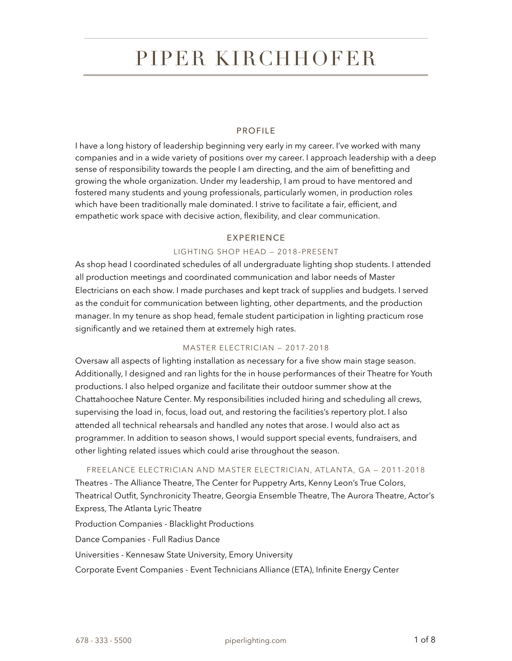# PIPER KIRCHHOFER

## PROFILE

I have a long history of leadership beginning very early in my career. I've worked with many companies and in a wide variety of positions over my career. I approach leadership with a deep sense of responsibility towards the people I am directing, and the aim of benefitting and growing the whole organization. Under my leadership, I am proud to have mentored and fostered many students and young professionals, particularly women, in production roles which have been traditionally male dominated. I strive to facilitate a fair, efficient, and empathetic work space with decisive action, flexibility, and clear communication.

#### EXPERIENCE

#### LIGHTING SHOP HEAD — 2018–PRESENT

As shop head I coordinated schedules of all undergraduate lighting shop students. I attended all production meetings and coordinated communication and labor needs of Master Electricians on each show. I made purchases and kept track of supplies and budgets. I served as the conduit for communication between lighting, other departments, and the production manager. In my tenure as shop head, female student participation in lighting practicum rose significantly and we retained them at extremely high rates.

#### MASTER ELECTRICIAN — 2017-2018

Oversaw all aspects of lighting installation as necessary for a five show main stage season. Additionally, I designed and ran lights for the in house performances of their Theatre for Youth productions. I also helped organize and facilitate their outdoor summer show at the Chattahoochee Nature Center. My responsibilities included hiring and scheduling all crews, supervising the load in, focus, load out, and restoring the facilities's repertory plot. I also attended all technical rehearsals and handled any notes that arose. I would also act as programmer. In addition to season shows, I would support special events, fundraisers, and other lighting related issues which could arise throughout the season.

FREELANCE ELECTRICIAN AND MASTER ELECTRICIAN, ATLANTA, GA — 2011-2018 Theatres - The Alliance Theatre, The Center for Puppetry Arts, Kenny Leon's True Colors, Theatrical Outfit, Synchronicity Theatre, Georgia Ensemble Theatre, The Aurora Theatre, Actor's Express, The Atlanta Lyric Theatre

Production Companies - Blacklight Productions Dance Companies - Full Radius Dance Universities - Kennesaw State University, Emory University Corporate Event Companies - Event Technicians Alliance (ETA), Infinite Energy Center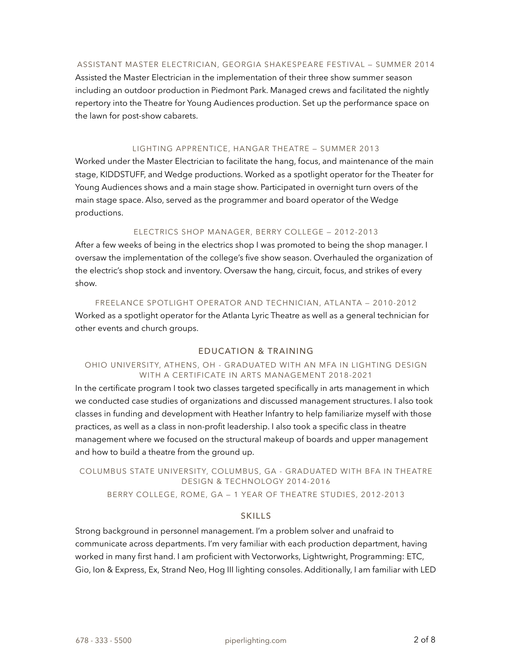#### ASSISTANT MASTER ELECTRICIAN, GEORGIA SHAKESPEARE FESTIVAL — SUMMER 2014

Assisted the Master Electrician in the implementation of their three show summer season including an outdoor production in Piedmont Park. Managed crews and facilitated the nightly repertory into the Theatre for Young Audiences production. Set up the performance space on the lawn for post-show cabarets.

#### LIGHTING APPRENTICE, HANGAR THEATRE — SUMMER 2013

Worked under the Master Electrician to facilitate the hang, focus, and maintenance of the main stage, KIDDSTUFF, and Wedge productions. Worked as a spotlight operator for the Theater for Young Audiences shows and a main stage show. Participated in overnight turn overs of the main stage space. Also, served as the programmer and board operator of the Wedge productions.

#### ELECTRICS SHOP MANAGER, BERRY COLLEGE — 2012-2013

After a few weeks of being in the electrics shop I was promoted to being the shop manager. I oversaw the implementation of the college's five show season. Overhauled the organization of the electric's shop stock and inventory. Oversaw the hang, circuit, focus, and strikes of every show.

FREELANCE SPOTLIGHT OPERATOR AND TECHNICIAN, ATLANTA — 2010-2012 Worked as a spotlight operator for the Atlanta Lyric Theatre as well as a general technician for other events and church groups.

## EDUCATION & TRAINING

#### OHIO UNIVERSITY, ATHENS, OH - GRADUATED WITH AN MFA IN LIGHTING DESIGN WITH A CERTIFICATE IN ARTS MANAGEMENT 2018-2021

In the certificate program I took two classes targeted specifically in arts management in which we conducted case studies of organizations and discussed management structures. I also took classes in funding and development with Heather Infantry to help familiarize myself with those practices, as well as a class in non-profit leadership. I also took a specific class in theatre management where we focused on the structural makeup of boards and upper management and how to build a theatre from the ground up.

# COLUMBUS STATE UNIVERSITY, COLUMBUS, GA - GRADUATED WITH BFA IN THEATRE DESIGN & TECHNOLOGY 2014-2016

BERRY COLLEGE, ROME, GA — 1 YEAR OF THEATRE STUDIES, 2012-2013

#### SKILLS

Strong background in personnel management. I'm a problem solver and unafraid to communicate across departments. I'm very familiar with each production department, having worked in many first hand. I am proficient with Vectorworks, Lightwright, Programming: ETC, Gio, Ion & Express, Ex, Strand Neo, Hog III lighting consoles. Additionally, I am familiar with LED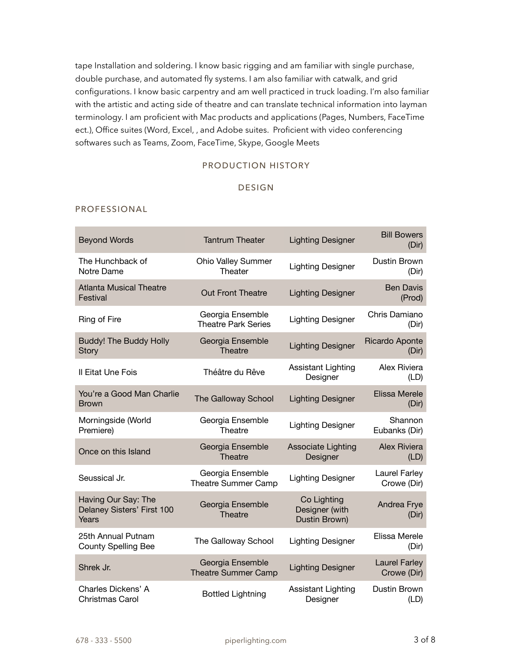tape Installation and soldering. I know basic rigging and am familiar with single purchase, double purchase, and automated fly systems. I am also familiar with catwalk, and grid configurations. I know basic carpentry and am well practiced in truck loading. I'm also familiar with the artistic and acting side of theatre and can translate technical information into layman terminology. I am proficient with Mac products and applications (Pages, Numbers, FaceTime ect.), Office suites (Word, Excel, , and Adobe suites. Proficient with video conferencing softwares such as Teams, Zoom, FaceTime, Skype, Google Meets

# PRODUCTION HISTORY

## DESIGN

#### PROFESSIONAL

| <b>Beyond Words</b>                                        | <b>Tantrum Theater</b>                         | <b>Lighting Designer</b>                       | <b>Bill Bowers</b><br>(Dir)         |
|------------------------------------------------------------|------------------------------------------------|------------------------------------------------|-------------------------------------|
| The Hunchback of<br>Notre Dame                             | <b>Ohio Valley Summer</b><br>Theater           | <b>Lighting Designer</b>                       | Dustin Brown<br>(Dir)               |
| <b>Atlanta Musical Theatre</b><br>Festival                 | <b>Out Front Theatre</b>                       | <b>Lighting Designer</b>                       | <b>Ben Davis</b><br>(Prod)          |
| Ring of Fire                                               | Georgia Ensemble<br><b>Theatre Park Series</b> | <b>Lighting Designer</b>                       | Chris Damiano<br>(Dir)              |
| <b>Buddy! The Buddy Holly</b><br><b>Story</b>              | Georgia Ensemble<br>Theatre                    | <b>Lighting Designer</b>                       | <b>Ricardo Aponte</b><br>(Dir)      |
| Il Eitat Une Fois                                          | Théâtre du Rêve                                | Assistant Lighting<br>Designer                 | Alex Riviera<br>(LD)                |
| You're a Good Man Charlie<br><b>Brown</b>                  | The Galloway School                            | <b>Lighting Designer</b>                       | Elissa Merele<br>(Dir)              |
| Morningside (World<br>Premiere)                            | Georgia Ensemble<br>Theatre                    | <b>Lighting Designer</b>                       | Shannon<br>Eubanks (Dir)            |
| Once on this Island                                        | Georgia Ensemble<br>Theatre                    | <b>Associate Lighting</b><br>Designer          | Alex Riviera<br>(LD)                |
| Seussical Jr.                                              | Georgia Ensemble<br><b>Theatre Summer Camp</b> | <b>Lighting Designer</b>                       | <b>Laurel Farley</b><br>Crowe (Dir) |
| Having Our Say: The<br>Delaney Sisters' First 100<br>Years | Georgia Ensemble<br>Theatre                    | Co Lighting<br>Designer (with<br>Dustin Brown) | Andrea Frye<br>(Dir)                |
| 25th Annual Putnam<br><b>County Spelling Bee</b>           | The Galloway School                            | <b>Lighting Designer</b>                       | Elissa Merele<br>(Dir)              |
| Shrek Jr.                                                  | Georgia Ensemble<br><b>Theatre Summer Camp</b> | <b>Lighting Designer</b>                       | <b>Laurel Farley</b><br>Crowe (Dir) |
| Charles Dickens' A<br>Christmas Carol                      | <b>Bottled Lightning</b>                       | Assistant Lighting<br>Designer                 | Dustin Brown<br>(LD)                |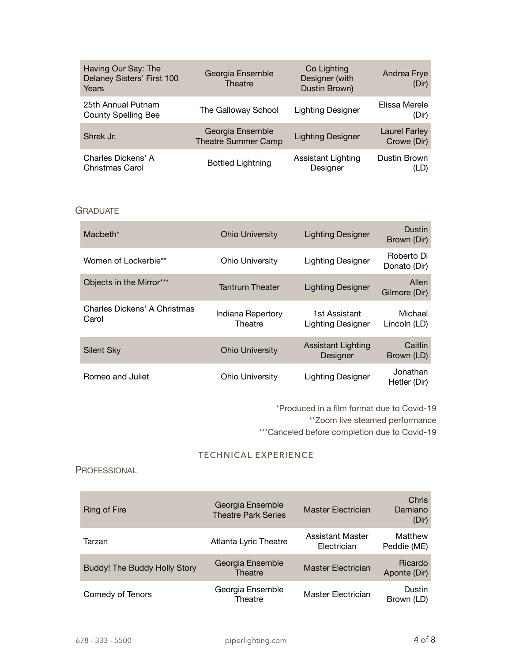| Having Our Say: The<br>Delaney Sisters' First 100<br>Years | Georgia Ensemble<br>Theatre                    | Co Lighting<br>Designer (with<br>Dustin Brown) | Andrea Frye<br>(Dir)         |
|------------------------------------------------------------|------------------------------------------------|------------------------------------------------|------------------------------|
| 25th Annual Putnam<br><b>County Spelling Bee</b>           | The Galloway School                            | <b>Lighting Designer</b>                       | Elissa Merele<br>(Dir)       |
| Shrek Jr.                                                  | Georgia Ensemble<br><b>Theatre Summer Camp</b> | <b>Lighting Designer</b>                       | Laurel Farley<br>Crowe (Dir) |
| Charles Dickens' A<br>Christmas Carol                      | <b>Bottled Lightning</b>                       | <b>Assistant Lighting</b><br>Designer          | Dustin Brown<br>(LD)         |

# **GRADUATE**

| Macheth*                              | <b>Ohio University</b>       | <b>Lighting Designer</b>              | Dustin<br>Brown (Dir)      |
|---------------------------------------|------------------------------|---------------------------------------|----------------------------|
| Women of Lockerbie**                  | <b>Ohio University</b>       | <b>Lighting Designer</b>              | Roberto Di<br>Donato (Dir) |
| Objects in the Mirror***              | <b>Tantrum Theater</b>       | <b>Lighting Designer</b>              | Allen<br>Gilmore (Dir)     |
| Charles Dickens' A Christmas<br>Carol | Indiana Repertory<br>Theatre | 1st Assistant<br>Lighting Designer    | Michael<br>Lincoln (LD)    |
| Silent Sky                            | <b>Ohio University</b>       | <b>Assistant Lighting</b><br>Designer | Caitlin<br>Brown (LD)      |
| Romeo and Juliet                      | <b>Ohio University</b>       | Lighting Designer                     | Jonathan<br>Hetler (Dir)   |

\*Produced in a film format due to Covid-19

\*\*Zoom live steamed performance

\*\*\*Canceled before completion due to Covid-19

# TECHNICAL EXPERIENCE

# PROFESSIONAL

| Ring of Fire                 | Georgia Ensemble<br><b>Theatre Park Series</b> | Master Electrician              | Chris<br>Damiano<br>(Dir) |
|------------------------------|------------------------------------------------|---------------------------------|---------------------------|
| Tarzan                       | Atlanta Lyric Theatre                          | Assistant Master<br>Electrician | Matthew<br>Peddie (ME)    |
| Buddy! The Buddy Holly Story | Georgia Ensemble<br>Theatre                    | <b>Master Electrician</b>       | Ricardo<br>Aponte (Dir)   |
| Comedy of Tenors             | Georgia Ensemble<br>Theatre                    | Master Electrician              | Dustin<br>Brown (LD)      |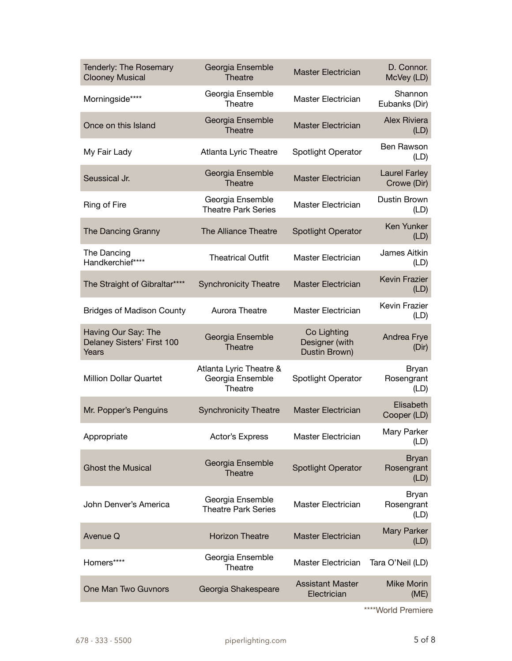| Tenderly: The Rosemary<br><b>Clooney Musical</b>           | Georgia Ensemble<br>Theatre                            | <b>Master Electrician</b>                      | D. Connor.<br>McVey (LD)            |
|------------------------------------------------------------|--------------------------------------------------------|------------------------------------------------|-------------------------------------|
| Morningside****                                            | Georgia Ensemble<br>Theatre                            | Master Electrician                             | Shannon<br>Eubanks (Dir)            |
| Once on this Island                                        | Georgia Ensemble<br><b>Theatre</b>                     | <b>Master Electrician</b>                      | Alex Riviera<br>(LD)                |
| My Fair Lady                                               | Atlanta Lyric Theatre                                  | Spotlight Operator                             | Ben Rawson<br>(LD)                  |
| Seussical Jr.                                              | Georgia Ensemble<br>Theatre                            | <b>Master Electrician</b>                      | <b>Laurel Farley</b><br>Crowe (Dir) |
| Ring of Fire                                               | Georgia Ensemble<br><b>Theatre Park Series</b>         | Master Electrician                             | Dustin Brown<br>(LD)                |
| The Dancing Granny                                         | The Alliance Theatre                                   | <b>Spotlight Operator</b>                      | Ken Yunker<br>(LD)                  |
| The Dancing<br>Handkerchief****                            | <b>Theatrical Outfit</b>                               | Master Electrician                             | James Aitkin<br>(LD)                |
| The Straight of Gibraltar****                              | <b>Synchronicity Theatre</b>                           | <b>Master Electrician</b>                      | <b>Kevin Frazier</b><br>(LD)        |
| <b>Bridges of Madison County</b>                           | Aurora Theatre                                         | Master Electrician                             | Kevin Frazier<br>(LD)               |
| Having Our Say: The<br>Delaney Sisters' First 100<br>Years | Georgia Ensemble<br><b>Theatre</b>                     | Co Lighting<br>Designer (with<br>Dustin Brown) | Andrea Frye<br>(Dir)                |
| <b>Million Dollar Quartet</b>                              | Atlanta Lyric Theatre &<br>Georgia Ensemble<br>Theatre | Spotlight Operator                             | Bryan<br>Rosengrant<br>(LD)         |
| Mr. Popper's Penguins                                      | <b>Synchronicity Theatre</b>                           | <b>Master Electrician</b>                      | Elisabeth<br>Cooper (LD)            |
| Appropriate                                                | Actor's Express                                        | Master Electrician                             | Mary Parker<br>(LD)                 |
| <b>Ghost the Musical</b>                                   | Georgia Ensemble<br>Theatre                            | <b>Spotlight Operator</b>                      | <b>Bryan</b><br>Rosengrant<br>(LD)  |
| John Denver's America                                      | Georgia Ensemble<br><b>Theatre Park Series</b>         | Master Electrician                             | Bryan<br>Rosengrant<br>(LD)         |
| Avenue Q                                                   | <b>Horizon Theatre</b>                                 | <b>Master Electrician</b>                      | Mary Parker<br>(LD)                 |
| Homers****                                                 | Georgia Ensemble<br>Theatre                            | Master Electrician                             | Tara O'Neil (LD)                    |
| One Man Two Guvnors                                        | Georgia Shakespeare                                    | <b>Assistant Master</b><br>Electrician         | <b>Mike Morin</b><br>(ME)           |
|                                                            |                                                        |                                                |                                     |

\*\*\*\*World Premiere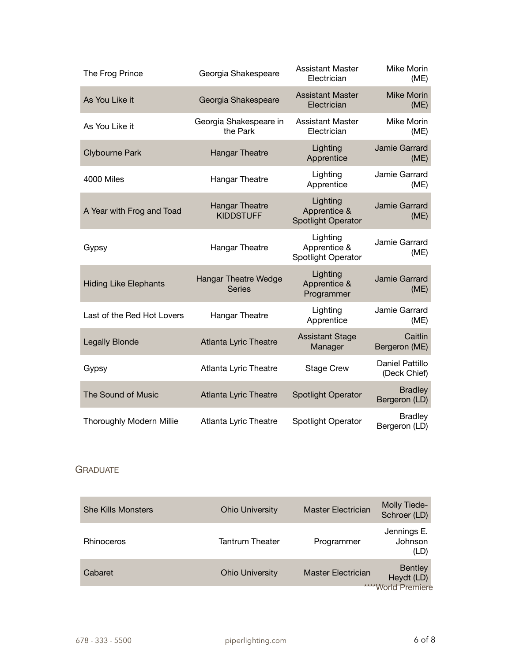| The Frog Prince                 | Georgia Shakespeare                          | <b>Assistant Master</b><br>Electrician                | Mike Morin<br>(ME)              |
|---------------------------------|----------------------------------------------|-------------------------------------------------------|---------------------------------|
| As You Like it                  | Georgia Shakespeare                          | <b>Assistant Master</b><br>Electrician                | <b>Mike Morin</b><br>(ME)       |
| As You Like it                  | Georgia Shakespeare in<br>the Park           | <b>Assistant Master</b><br>Electrician                | Mike Morin<br>(ME)              |
| <b>Clybourne Park</b>           | <b>Hangar Theatre</b>                        | Lighting<br>Apprentice                                | Jamie Garrard<br>(ME)           |
| 4000 Miles                      | <b>Hangar Theatre</b>                        | Lighting<br>Apprentice                                | Jamie Garrard<br>(ME)           |
| A Year with Frog and Toad       | <b>Hangar Theatre</b><br><b>KIDDSTUFF</b>    | Lighting<br>Apprentice &<br><b>Spotlight Operator</b> | Jamie Garrard<br>(ME)           |
| Gypsy                           | <b>Hangar Theatre</b>                        | Lighting<br>Apprentice &<br><b>Spotlight Operator</b> | Jamie Garrard<br>(ME)           |
| <b>Hiding Like Elephants</b>    | <b>Hangar Theatre Wedge</b><br><b>Series</b> | Lighting<br>Apprentice &<br>Programmer                | Jamie Garrard<br>(ME)           |
| Last of the Red Hot Lovers      | <b>Hangar Theatre</b>                        | Lighting<br>Apprentice                                | Jamie Garrard<br>(ME)           |
| <b>Legally Blonde</b>           | <b>Atlanta Lyric Theatre</b>                 | <b>Assistant Stage</b><br>Manager                     | Caitlin<br>Bergeron (ME)        |
| Gypsy                           | Atlanta Lyric Theatre                        | <b>Stage Crew</b>                                     | Daniel Pattillo<br>(Deck Chief) |
| <b>The Sound of Music</b>       | <b>Atlanta Lyric Theatre</b>                 | <b>Spotlight Operator</b>                             | <b>Bradley</b><br>Bergeron (LD) |
| <b>Thoroughly Modern Millie</b> | Atlanta Lyric Theatre                        | Spotlight Operator                                    | <b>Bradley</b><br>Bergeron (LD) |

# **GRADUATE**

| <b>She Kills Monsters</b> | <b>Ohio University</b> | <b>Master Electrician</b> | <b>Molly Tiede-</b><br>Schroer (LD)                |
|---------------------------|------------------------|---------------------------|----------------------------------------------------|
| <b>Rhinoceros</b>         | <b>Tantrum Theater</b> | Programmer                | Jennings E.<br>Johnson<br>(LD)                     |
| Cabaret                   | <b>Ohio University</b> | <b>Master Electrician</b> | <b>Bentley</b><br>Heydt (LD)<br>****World Premiere |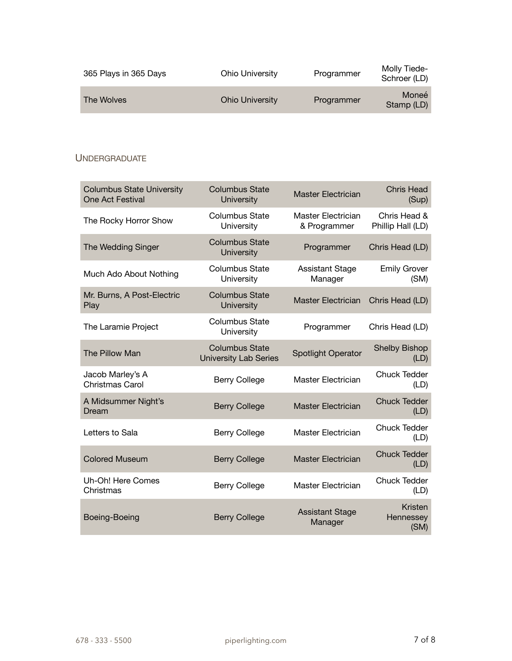| 365 Plays in 365 Days | Ohio University        | Programmer | Molly Tiede-<br>Schroer (LD) |
|-----------------------|------------------------|------------|------------------------------|
| The Wolves            | <b>Ohio University</b> | Programmer | Moneé<br>Stamp (LD)          |

# **UNDERGRADUATE**

| <b>Columbus State University</b><br>One Act Festival | <b>Columbus State</b><br><b>University</b>            | <b>Master Electrician</b>          | <b>Chris Head</b><br>(Sup)        |
|------------------------------------------------------|-------------------------------------------------------|------------------------------------|-----------------------------------|
| The Rocky Horror Show                                | <b>Columbus State</b><br>University                   | Master Electrician<br>& Programmer | Chris Head &<br>Phillip Hall (LD) |
| The Wedding Singer                                   | <b>Columbus State</b><br><b>University</b>            | Programmer                         | Chris Head (LD)                   |
| Much Ado About Nothing                               | <b>Columbus State</b><br>University                   | <b>Assistant Stage</b><br>Manager  | <b>Emily Grover</b><br>(SM)       |
| Mr. Burns, A Post-Electric<br>Play                   | <b>Columbus State</b><br><b>University</b>            | <b>Master Electrician</b>          | Chris Head (LD)                   |
| The Laramie Project                                  | <b>Columbus State</b><br>University                   | Programmer                         | Chris Head (LD)                   |
| The Pillow Man                                       | <b>Columbus State</b><br><b>University Lab Series</b> | <b>Spotlight Operator</b>          | <b>Shelby Bishop</b><br>(LD)      |
| Jacob Marley's A<br>Christmas Carol                  | <b>Berry College</b>                                  | <b>Master Electrician</b>          | <b>Chuck Tedder</b><br>(LD)       |
| A Midsummer Night's<br>Dream                         | <b>Berry College</b>                                  | <b>Master Electrician</b>          | <b>Chuck Tedder</b><br>(LD)       |
| Letters to Sala                                      | <b>Berry College</b>                                  | Master Electrician                 | <b>Chuck Tedder</b><br>(LD)       |
| <b>Colored Museum</b>                                | <b>Berry College</b>                                  | <b>Master Electrician</b>          | <b>Chuck Tedder</b><br>(LD)       |
| Uh-Oh! Here Comes<br>Christmas                       | <b>Berry College</b>                                  | <b>Master Electrician</b>          | <b>Chuck Tedder</b><br>(LD)       |
| Boeing-Boeing                                        | <b>Berry College</b>                                  | <b>Assistant Stage</b><br>Manager  | Kristen<br>Hennessey<br>(SM)      |